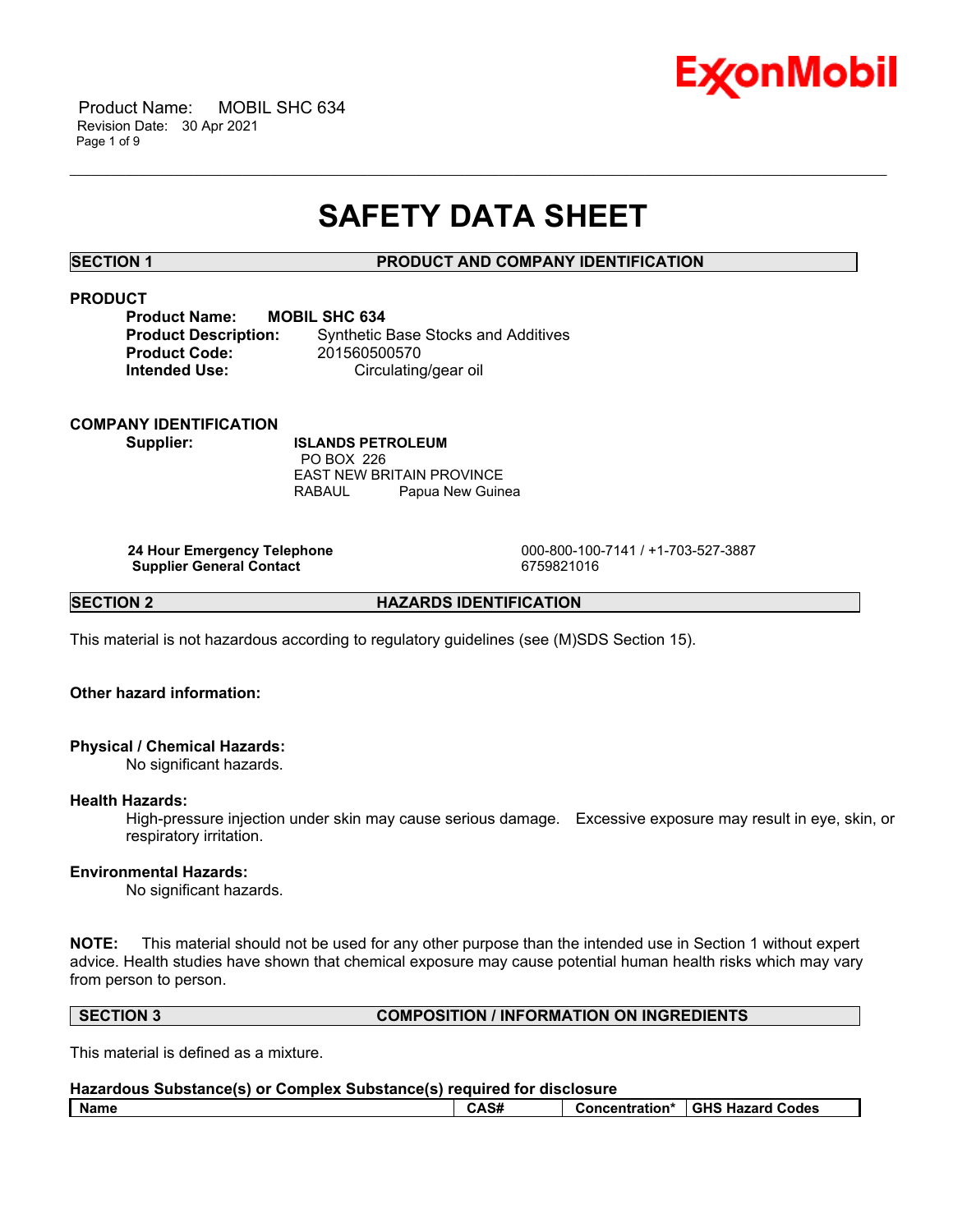

 Product Name: MOBIL SHC 634 Revision Date: 30 Apr 2021 Page 1 of 9

# **SAFETY DATA SHEET**

\_\_\_\_\_\_\_\_\_\_\_\_\_\_\_\_\_\_\_\_\_\_\_\_\_\_\_\_\_\_\_\_\_\_\_\_\_\_\_\_\_\_\_\_\_\_\_\_\_\_\_\_\_\_\_\_\_\_\_\_\_\_\_\_\_\_\_\_\_\_\_\_\_\_\_\_\_\_\_\_\_\_\_\_\_\_\_\_\_\_\_\_\_\_\_\_\_\_\_\_\_\_\_\_\_\_\_\_\_\_\_\_\_\_\_\_\_\_

# **SECTION 1 PRODUCT AND COMPANY IDENTIFICATION**

# **PRODUCT**

| <b>Product Name:</b>        | M |
|-----------------------------|---|
| <b>Product Description:</b> |   |
| <b>Product Code:</b>        |   |
| <b>Intended Use:</b>        |   |
|                             |   |

**PBIL SHC 634 Synthetic Base Stocks and Additives Product Code:** 201560500570 **Circulating/gear oil** 

### **COMPANY IDENTIFICATION**

**Supplier: ISLANDS PETROLEUM** PO BOX 226 EAST NEW BRITAIN PROVINCE RABAUL Papua New Guinea

**Supplier General Contact** 6759821016

 **24 Hour Emergency Telephone** 000-800-100-7141 / +1-703-527-3887

**SECTION 2 HAZARDS IDENTIFICATION** 

This material is not hazardous according to regulatory guidelines (see (M)SDS Section 15).

# **Other hazard information:**

# **Physical / Chemical Hazards:**

No significant hazards.

#### **Health Hazards:**

High-pressure injection under skin may cause serious damage. Excessive exposure may result in eye, skin, or respiratory irritation.

# **Environmental Hazards:**

No significant hazards.

**NOTE:** This material should not be used for any other purpose than the intended use in Section 1 without expert advice. Health studies have shown that chemical exposure may cause potential human health risks which may vary from person to person.

### **SECTION 3 COMPOSITION / INFORMATION ON INGREDIENTS**

This material is defined as a mixture.

| Hazardous Substance(s) or Complex Substance(s) required for disclosure |      |                                   |
|------------------------------------------------------------------------|------|-----------------------------------|
| l Name                                                                 | CAS# | Concentration* I GHS Hazard Codes |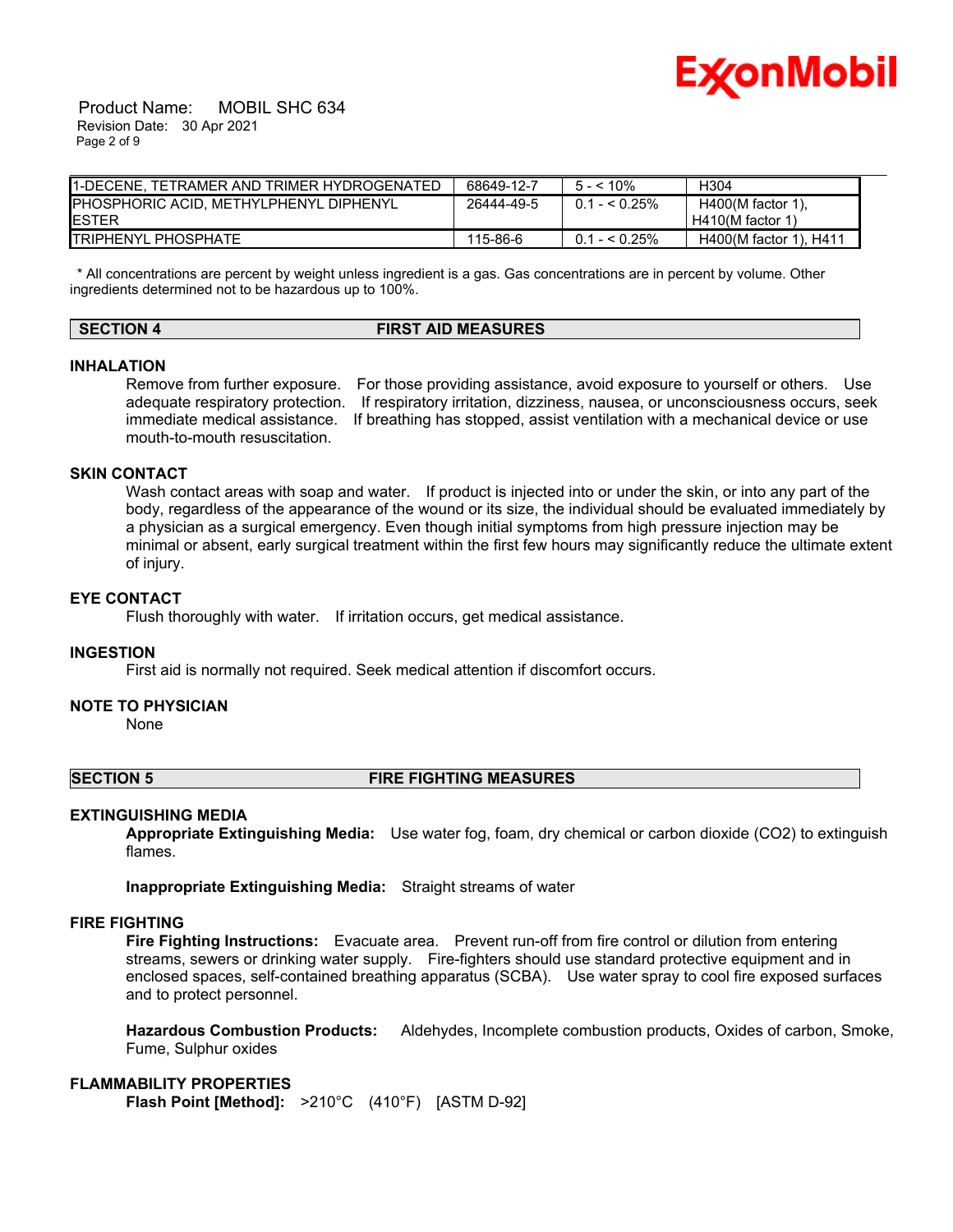

 Product Name: MOBIL SHC 634 Revision Date: 30 Apr 2021 Page 2 of 9

| I1-DECENE. TETRAMER AND TRIMER HYDROGENATED | 68649-12-7 | $5 - 10\%$     | H304                   |
|---------------------------------------------|------------|----------------|------------------------|
| PHOSPHORIC ACID, METHYLPHENYL DIPHENYL      | 26444-49-5 | $0.1 - 5.25\%$ | $H400(M$ factor 1).    |
| IESTER                                      |            |                | $H410(M$ factor 1)     |
| <b>I</b> TRIPHENYL PHOSPHATE                | 115-86-6   | $0.1 - 5.25\%$ | H400(M factor 1), H411 |

 \* All concentrations are percent by weight unless ingredient is a gas. Gas concentrations are in percent by volume. Other ingredients determined not to be hazardous up to 100%.

# **SECTION 4 FIRST AID MEASURES**

#### **INHALATION**

Remove from further exposure. For those providing assistance, avoid exposure to yourself or others. Use adequate respiratory protection. If respiratory irritation, dizziness, nausea, or unconsciousness occurs, seek immediate medical assistance. If breathing has stopped, assist ventilation with a mechanical device or use mouth-to-mouth resuscitation.

# **SKIN CONTACT**

Wash contact areas with soap and water. If product is injected into or under the skin, or into any part of the body, regardless of the appearance of the wound or its size, the individual should be evaluated immediately by a physician as a surgical emergency. Even though initial symptoms from high pressure injection may be minimal or absent, early surgical treatment within the first few hours may significantly reduce the ultimate extent of injury.

## **EYE CONTACT**

Flush thoroughly with water. If irritation occurs, get medical assistance.

#### **INGESTION**

First aid is normally not required. Seek medical attention if discomfort occurs.

#### **NOTE TO PHYSICIAN**

None

#### **SECTION 5 FIRE FIGHTING MEASURES**

#### **EXTINGUISHING MEDIA**

**Appropriate Extinguishing Media:** Use water fog, foam, dry chemical or carbon dioxide (CO2) to extinguish flames.

**Inappropriate Extinguishing Media:** Straight streams of water

## **FIRE FIGHTING**

**Fire Fighting Instructions:** Evacuate area. Prevent run-off from fire control or dilution from entering streams, sewers or drinking water supply. Fire-fighters should use standard protective equipment and in enclosed spaces, self-contained breathing apparatus (SCBA). Use water spray to cool fire exposed surfaces and to protect personnel.

**Hazardous Combustion Products:** Aldehydes, Incomplete combustion products, Oxides of carbon, Smoke, Fume, Sulphur oxides

#### **FLAMMABILITY PROPERTIES**

**Flash Point [Method]:** >210°C (410°F) [ASTM D-92]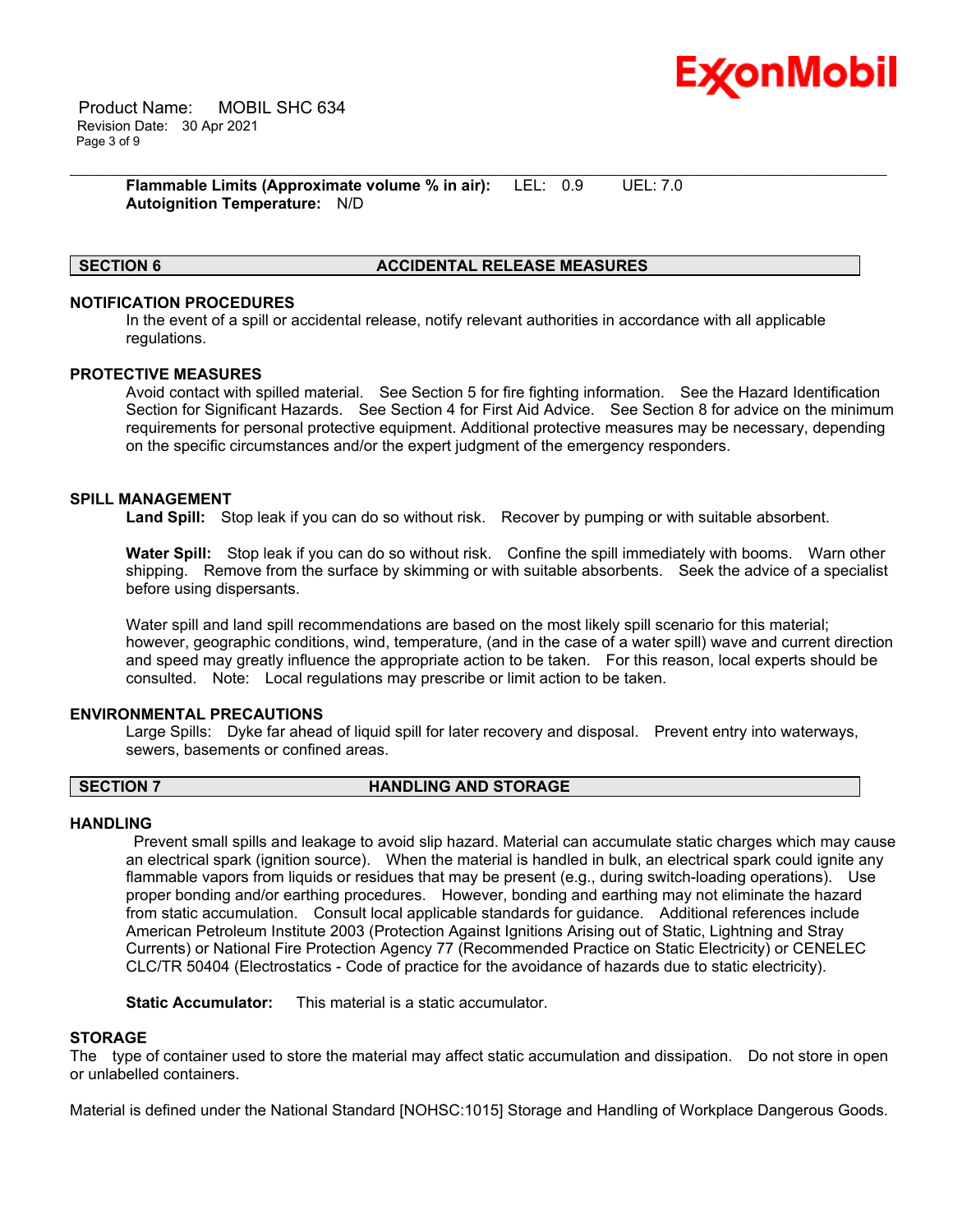

 Product Name: MOBIL SHC 634 Revision Date: 30 Apr 2021 Page 3 of 9

> **Flammable Limits (Approximate volume % in air):** LEL: 0.9 UEL: 7.0 **Autoignition Temperature:** N/D

### **SECTION 6 ACCIDENTAL RELEASE MEASURES**

# **NOTIFICATION PROCEDURES**

In the event of a spill or accidental release, notify relevant authorities in accordance with all applicable regulations.

\_\_\_\_\_\_\_\_\_\_\_\_\_\_\_\_\_\_\_\_\_\_\_\_\_\_\_\_\_\_\_\_\_\_\_\_\_\_\_\_\_\_\_\_\_\_\_\_\_\_\_\_\_\_\_\_\_\_\_\_\_\_\_\_\_\_\_\_\_\_\_\_\_\_\_\_\_\_\_\_\_\_\_\_\_\_\_\_\_\_\_\_\_\_\_\_\_\_\_\_\_\_\_\_\_\_\_\_\_\_\_\_\_\_\_\_\_\_

#### **PROTECTIVE MEASURES**

Avoid contact with spilled material. See Section 5 for fire fighting information. See the Hazard Identification Section for Significant Hazards. See Section 4 for First Aid Advice. See Section 8 for advice on the minimum requirements for personal protective equipment. Additional protective measures may be necessary, depending on the specific circumstances and/or the expert judgment of the emergency responders.

### **SPILL MANAGEMENT**

**Land Spill:** Stop leak if you can do so without risk. Recover by pumping or with suitable absorbent.

**Water Spill:** Stop leak if you can do so without risk. Confine the spill immediately with booms. Warn other shipping. Remove from the surface by skimming or with suitable absorbents. Seek the advice of a specialist before using dispersants.

Water spill and land spill recommendations are based on the most likely spill scenario for this material; however, geographic conditions, wind, temperature, (and in the case of a water spill) wave and current direction and speed may greatly influence the appropriate action to be taken. For this reason, local experts should be consulted. Note: Local regulations may prescribe or limit action to be taken.

### **ENVIRONMENTAL PRECAUTIONS**

Large Spills: Dyke far ahead of liquid spill for later recovery and disposal. Prevent entry into waterways, sewers, basements or confined areas.

# **SECTION 7 HANDLING AND STORAGE**

### **HANDLING**

 Prevent small spills and leakage to avoid slip hazard. Material can accumulate static charges which may cause an electrical spark (ignition source). When the material is handled in bulk, an electrical spark could ignite any flammable vapors from liquids or residues that may be present (e.g., during switch-loading operations). Use proper bonding and/or earthing procedures. However, bonding and earthing may not eliminate the hazard from static accumulation. Consult local applicable standards for guidance. Additional references include American Petroleum Institute 2003 (Protection Against Ignitions Arising out of Static, Lightning and Stray Currents) or National Fire Protection Agency 77 (Recommended Practice on Static Electricity) or CENELEC CLC/TR 50404 (Electrostatics - Code of practice for the avoidance of hazards due to static electricity).

**Static Accumulator:** This material is a static accumulator.

### **STORAGE**

The type of container used to store the material may affect static accumulation and dissipation. Do not store in open or unlabelled containers.

Material is defined under the National Standard [NOHSC:1015] Storage and Handling of Workplace Dangerous Goods.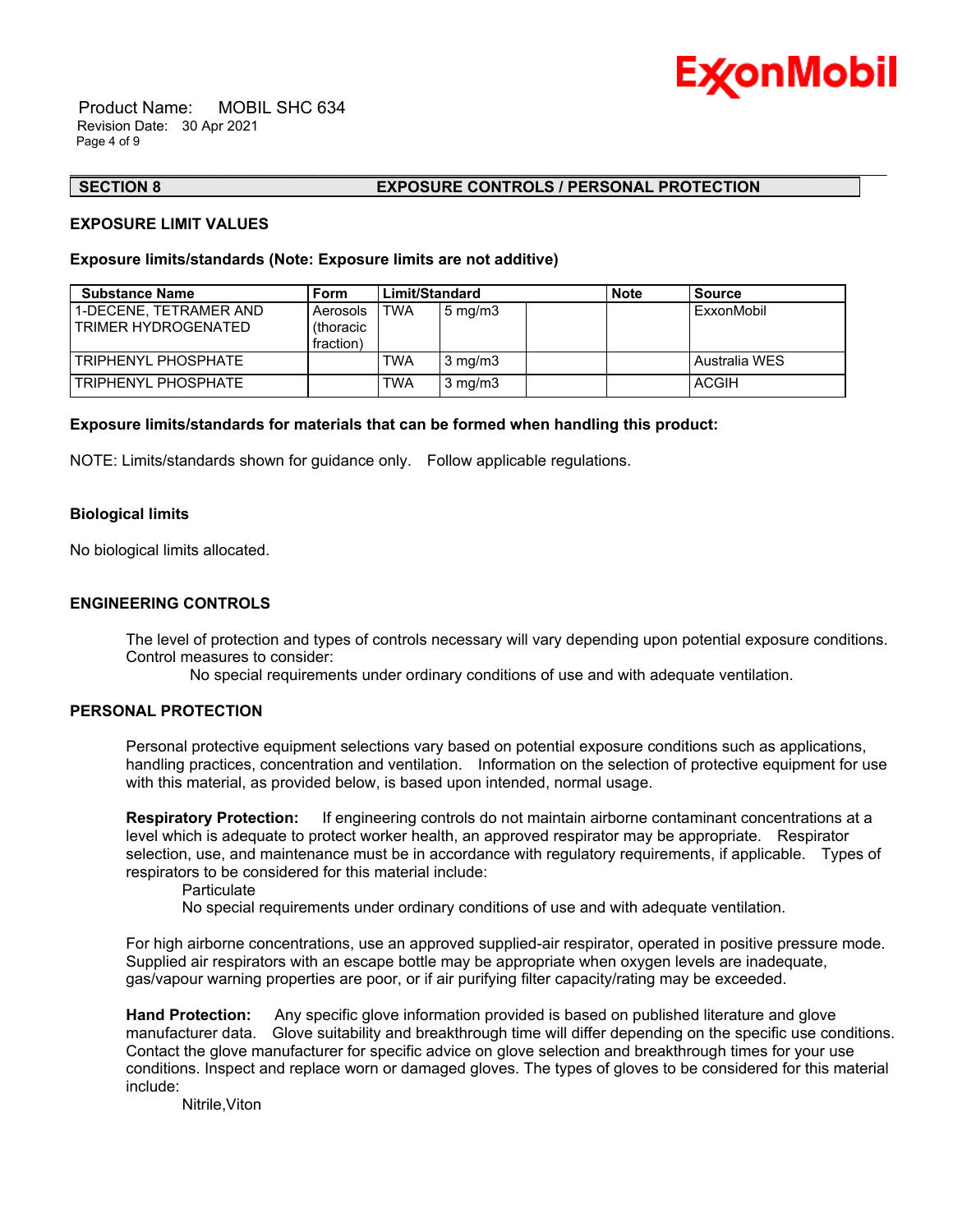

 Product Name: MOBIL SHC 634 Revision Date: 30 Apr 2021 Page 4 of 9

#### **SECTION 8 EXPOSURE CONTROLS / PERSONAL PROTECTION**

#### **EXPOSURE LIMIT VALUES**

### **Exposure limits/standards (Note: Exposure limits are not additive)**

| <b>Substance Name</b>                         | <b>Form</b>                        | Limit/Standard |                  | <b>Note</b> | <b>Source</b> |
|-----------------------------------------------|------------------------------------|----------------|------------------|-------------|---------------|
| 1-DECENE. TETRAMER AND<br>TRIMER HYDROGENATED | Aerosols<br>(thoracic<br>fraction) | TWA            | $5 \text{ mg/m}$ |             | ExxonMobil    |
| TRIPHENYL PHOSPHATE                           |                                    | TWA            | $3 \text{ mg/m}$ |             | Australia WES |
| TRIPHENYL PHOSPHATE                           |                                    | TWA            | $3 \text{ mg/m}$ |             | ACGIH         |

\_\_\_\_\_\_\_\_\_\_\_\_\_\_\_\_\_\_\_\_\_\_\_\_\_\_\_\_\_\_\_\_\_\_\_\_\_\_\_\_\_\_\_\_\_\_\_\_\_\_\_\_\_\_\_\_\_\_\_\_\_\_\_\_\_\_\_\_\_\_\_\_\_\_\_\_\_\_\_\_\_\_\_\_\_\_\_\_\_\_\_\_\_\_\_\_\_\_\_\_\_\_\_\_\_\_\_\_\_\_\_\_\_\_\_\_\_\_

#### **Exposure limits/standards for materials that can be formed when handling this product:**

NOTE: Limits/standards shown for guidance only. Follow applicable regulations.

#### **Biological limits**

No biological limits allocated.

### **ENGINEERING CONTROLS**

The level of protection and types of controls necessary will vary depending upon potential exposure conditions. Control measures to consider:

No special requirements under ordinary conditions of use and with adequate ventilation.

### **PERSONAL PROTECTION**

Personal protective equipment selections vary based on potential exposure conditions such as applications, handling practices, concentration and ventilation. Information on the selection of protective equipment for use with this material, as provided below, is based upon intended, normal usage.

**Respiratory Protection:** If engineering controls do not maintain airborne contaminant concentrations at a level which is adequate to protect worker health, an approved respirator may be appropriate. Respirator selection, use, and maintenance must be in accordance with regulatory requirements, if applicable. Types of respirators to be considered for this material include:

**Particulate** 

No special requirements under ordinary conditions of use and with adequate ventilation.

For high airborne concentrations, use an approved supplied-air respirator, operated in positive pressure mode. Supplied air respirators with an escape bottle may be appropriate when oxygen levels are inadequate, gas/vapour warning properties are poor, or if air purifying filter capacity/rating may be exceeded.

**Hand Protection:** Any specific glove information provided is based on published literature and glove manufacturer data. Glove suitability and breakthrough time will differ depending on the specific use conditions. Contact the glove manufacturer for specific advice on glove selection and breakthrough times for your use conditions. Inspect and replace worn or damaged gloves. The types of gloves to be considered for this material include:

Nitrile,Viton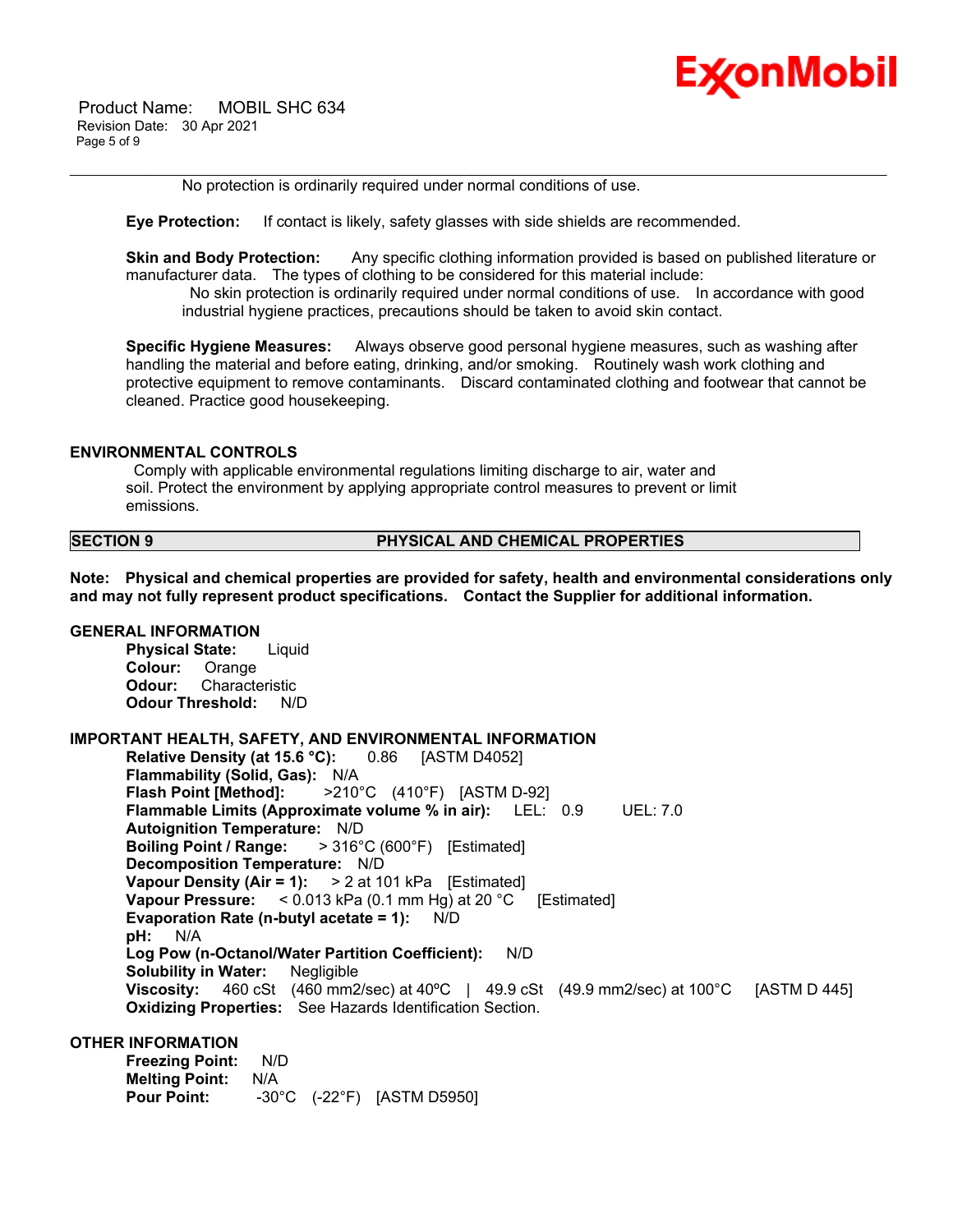

 Product Name: MOBIL SHC 634 Revision Date: 30 Apr 2021 Page 5 of 9

No protection is ordinarily required under normal conditions of use.

**Eye Protection:** If contact is likely, safety glasses with side shields are recommended.

**Skin and Body Protection:** Any specific clothing information provided is based on published literature or manufacturer data. The types of clothing to be considered for this material include:

\_\_\_\_\_\_\_\_\_\_\_\_\_\_\_\_\_\_\_\_\_\_\_\_\_\_\_\_\_\_\_\_\_\_\_\_\_\_\_\_\_\_\_\_\_\_\_\_\_\_\_\_\_\_\_\_\_\_\_\_\_\_\_\_\_\_\_\_\_\_\_\_\_\_\_\_\_\_\_\_\_\_\_\_\_\_\_\_\_\_\_\_\_\_\_\_\_\_\_\_\_\_\_\_\_\_\_\_\_\_\_\_\_\_\_\_\_\_

 No skin protection is ordinarily required under normal conditions of use. In accordance with good industrial hygiene practices, precautions should be taken to avoid skin contact.

**Specific Hygiene Measures:** Always observe good personal hygiene measures, such as washing after handling the material and before eating, drinking, and/or smoking. Routinely wash work clothing and protective equipment to remove contaminants. Discard contaminated clothing and footwear that cannot be cleaned. Practice good housekeeping.

#### **ENVIRONMENTAL CONTROLS**

 Comply with applicable environmental regulations limiting discharge to air, water and soil. Protect the environment by applying appropriate control measures to prevent or limit emissions.

**SECTION 9 PHYSICAL AND CHEMICAL PROPERTIES**

**Note: Physical and chemical properties are provided for safety, health and environmental considerations only and may not fully represent product specifications. Contact the Supplier for additional information.**

### **GENERAL INFORMATION**

**Physical State:** Liquid **Colour:** Orange **Odour:** Characteristic **Odour Threshold:** N/D

# **IMPORTANT HEALTH, SAFETY, AND ENVIRONMENTAL INFORMATION**

**Relative Density (at 15.6 °C):** 0.86 [ASTM D4052] **Flammability (Solid, Gas):** N/A **Flash Point [Method]:** >210°C (410°F) [ASTM D-92] **Flammable Limits (Approximate volume % in air):** LEL: 0.9 UEL: 7.0 **Autoignition Temperature:** N/D **Boiling Point / Range:** > 316°C (600°F) [Estimated] **Decomposition Temperature:** N/D **Vapour Density (Air = 1):** > 2 at 101 kPa [Estimated] **Vapour Pressure:** < 0.013 kPa (0.1 mm Hg) at 20 °C [Estimated] **Evaporation Rate (n-butyl acetate = 1):** N/D **pH:** N/A **Log Pow (n-Octanol/Water Partition Coefficient):** N/D **Solubility in Water:** Negligible **Viscosity:** 460 cSt (460 mm2/sec) at 40ºC | 49.9 cSt (49.9 mm2/sec) at 100°C [ASTM D 445] **Oxidizing Properties:** See Hazards Identification Section.

# **OTHER INFORMATION**

**Freezing Point:** N/D **Melting Point:** N/A **Pour Point:** -30°C (-22°F) [ASTM D5950]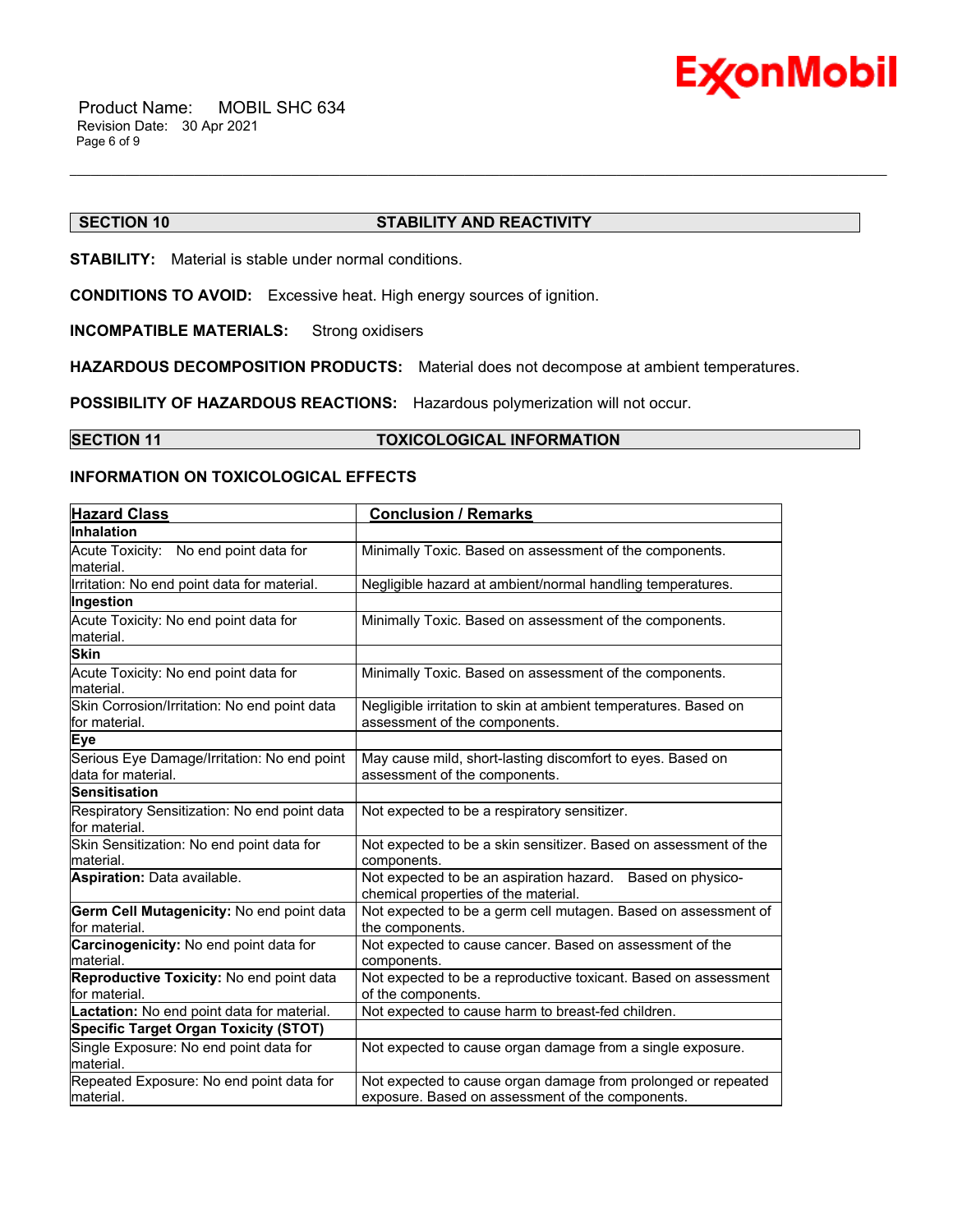

# **SECTION 10 STABILITY AND REACTIVITY**

\_\_\_\_\_\_\_\_\_\_\_\_\_\_\_\_\_\_\_\_\_\_\_\_\_\_\_\_\_\_\_\_\_\_\_\_\_\_\_\_\_\_\_\_\_\_\_\_\_\_\_\_\_\_\_\_\_\_\_\_\_\_\_\_\_\_\_\_\_\_\_\_\_\_\_\_\_\_\_\_\_\_\_\_\_\_\_\_\_\_\_\_\_\_\_\_\_\_\_\_\_\_\_\_\_\_\_\_\_\_\_\_\_\_\_\_\_\_

**STABILITY:** Material is stable under normal conditions.

**CONDITIONS TO AVOID:** Excessive heat. High energy sources of ignition.

**INCOMPATIBLE MATERIALS:** Strong oxidisers

**HAZARDOUS DECOMPOSITION PRODUCTS:** Material does not decompose at ambient temperatures.

**POSSIBILITY OF HAZARDOUS REACTIONS:** Hazardous polymerization will not occur.

**SECTION 11 TOXICOLOGICAL INFORMATION** 

# **INFORMATION ON TOXICOLOGICAL EFFECTS**

| <b>Hazard Class</b>                                               | <b>Conclusion / Remarks</b>                                                                                       |
|-------------------------------------------------------------------|-------------------------------------------------------------------------------------------------------------------|
| <b>Inhalation</b>                                                 |                                                                                                                   |
| Acute Toxicity: No end point data for<br>material.                | Minimally Toxic. Based on assessment of the components.                                                           |
| Irritation: No end point data for material.                       | Negligible hazard at ambient/normal handling temperatures.                                                        |
| Ingestion                                                         |                                                                                                                   |
| Acute Toxicity: No end point data for<br>material.                | Minimally Toxic. Based on assessment of the components.                                                           |
| <b>Skin</b>                                                       |                                                                                                                   |
| Acute Toxicity: No end point data for<br>material.                | Minimally Toxic. Based on assessment of the components.                                                           |
| Skin Corrosion/Irritation: No end point data<br>for material.     | Negligible irritation to skin at ambient temperatures. Based on<br>assessment of the components.                  |
| Eye                                                               |                                                                                                                   |
| Serious Eye Damage/Irritation: No end point<br>data for material. | May cause mild, short-lasting discomfort to eyes. Based on<br>assessment of the components.                       |
| <b>Sensitisation</b>                                              |                                                                                                                   |
| Respiratory Sensitization: No end point data<br>for material.     | Not expected to be a respiratory sensitizer.                                                                      |
| Skin Sensitization: No end point data for<br>material.            | Not expected to be a skin sensitizer. Based on assessment of the<br>components.                                   |
| Aspiration: Data available.                                       | Not expected to be an aspiration hazard. Based on physico-<br>chemical properties of the material.                |
| Germ Cell Mutagenicity: No end point data<br>for material.        | Not expected to be a germ cell mutagen. Based on assessment of<br>the components.                                 |
| Carcinogenicity: No end point data for<br>material.               | Not expected to cause cancer. Based on assessment of the<br>components.                                           |
| Reproductive Toxicity: No end point data<br>for material.         | Not expected to be a reproductive toxicant. Based on assessment<br>of the components.                             |
| Lactation: No end point data for material.                        | Not expected to cause harm to breast-fed children.                                                                |
| <b>Specific Target Organ Toxicity (STOT)</b>                      |                                                                                                                   |
| Single Exposure: No end point data for<br>material.               | Not expected to cause organ damage from a single exposure.                                                        |
| Repeated Exposure: No end point data for<br>material.             | Not expected to cause organ damage from prolonged or repeated<br>exposure. Based on assessment of the components. |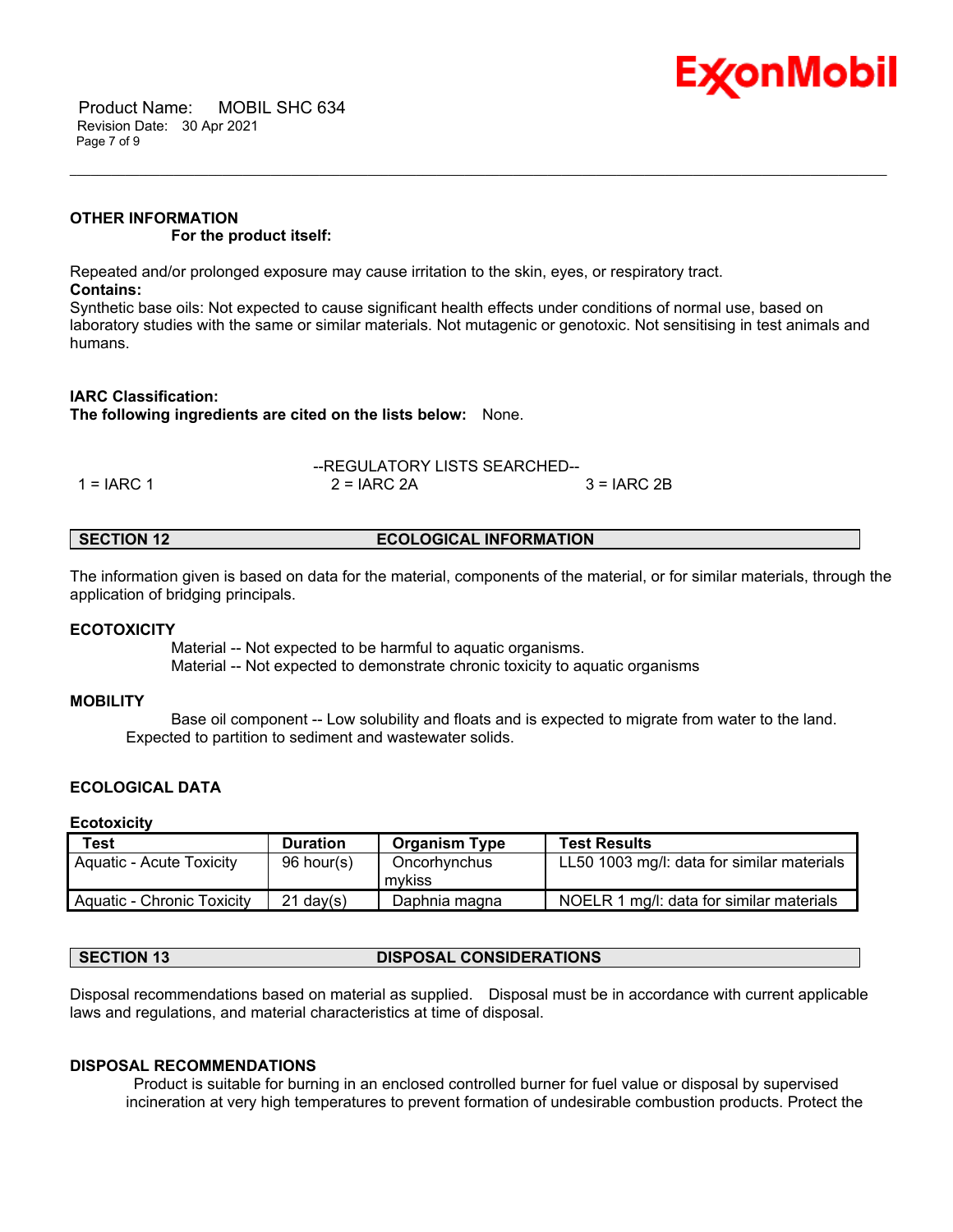

 Product Name: MOBIL SHC 634 Revision Date: 30 Apr 2021 Page 7 of 9

# **OTHER INFORMATION For the product itself:**

Repeated and/or prolonged exposure may cause irritation to the skin, eyes, or respiratory tract. **Contains:**

Synthetic base oils: Not expected to cause significant health effects under conditions of normal use, based on laboratory studies with the same or similar materials. Not mutagenic or genotoxic. Not sensitising in test animals and humans.

\_\_\_\_\_\_\_\_\_\_\_\_\_\_\_\_\_\_\_\_\_\_\_\_\_\_\_\_\_\_\_\_\_\_\_\_\_\_\_\_\_\_\_\_\_\_\_\_\_\_\_\_\_\_\_\_\_\_\_\_\_\_\_\_\_\_\_\_\_\_\_\_\_\_\_\_\_\_\_\_\_\_\_\_\_\_\_\_\_\_\_\_\_\_\_\_\_\_\_\_\_\_\_\_\_\_\_\_\_\_\_\_\_\_\_\_\_\_

# **IARC Classification:**

**The following ingredients are cited on the lists below:** None.

|              | --REGULATORY LISTS SEARCHED-- |               |
|--------------|-------------------------------|---------------|
| $1 = IARC 1$ | $2 = IARC 2A$                 | $3 = IARC 2B$ |

| <b>ECOLOGICAL INFORMATION</b><br><b>SECTION 12</b> |
|----------------------------------------------------|
|----------------------------------------------------|

The information given is based on data for the material, components of the material, or for similar materials, through the application of bridging principals.

#### **ECOTOXICITY**

 Material -- Not expected to be harmful to aquatic organisms. Material -- Not expected to demonstrate chronic toxicity to aquatic organisms

# **MOBILITY**

 Base oil component -- Low solubility and floats and is expected to migrate from water to the land. Expected to partition to sediment and wastewater solids.

# **ECOLOGICAL DATA**

#### **Ecotoxicity**

| Test                         | <b>Duration</b> | <b>Organism Type</b>   | <b>Test Results</b>                        |
|------------------------------|-----------------|------------------------|--------------------------------------------|
| Aquatic - Acute Toxicity     | 96 hour(s)      | Oncorhynchus<br>mvkiss | LL50 1003 mg/l: data for similar materials |
| l Aguatic - Chronic Toxicity | $21$ dav(s)     | Daphnia magna          | NOELR 1 mg/l: data for similar materials   |

# **SECTION 13 DISPOSAL CONSIDERATIONS**

Disposal recommendations based on material as supplied. Disposal must be in accordance with current applicable laws and regulations, and material characteristics at time of disposal.

#### **DISPOSAL RECOMMENDATIONS**

 Product is suitable for burning in an enclosed controlled burner for fuel value or disposal by supervised incineration at very high temperatures to prevent formation of undesirable combustion products. Protect the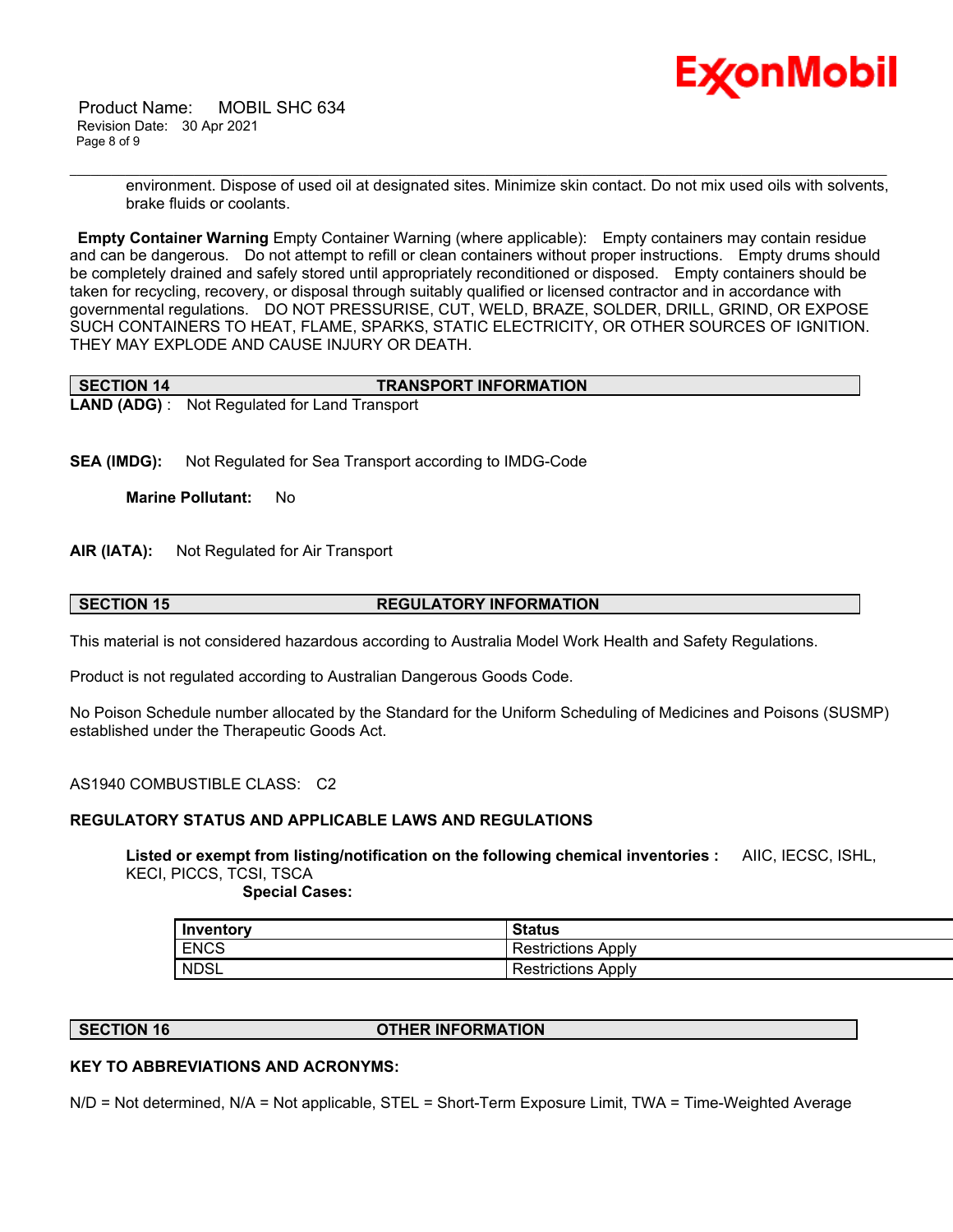

 Product Name: MOBIL SHC 634 Revision Date: 30 Apr 2021 Page 8 of 9

> environment. Dispose of used oil at designated sites. Minimize skin contact. Do not mix used oils with solvents, brake fluids or coolants.

**Empty Container Warning** Empty Container Warning (where applicable): Empty containers may contain residue and can be dangerous. Do not attempt to refill or clean containers without proper instructions. Empty drums should be completely drained and safely stored until appropriately reconditioned or disposed. Empty containers should be taken for recycling, recovery, or disposal through suitably qualified or licensed contractor and in accordance with governmental regulations. DO NOT PRESSURISE, CUT, WELD, BRAZE, SOLDER, DRILL, GRIND, OR EXPOSE SUCH CONTAINERS TO HEAT, FLAME, SPARKS, STATIC ELECTRICITY, OR OTHER SOURCES OF IGNITION. THEY MAY EXPLODE AND CAUSE INJURY OR DEATH.

\_\_\_\_\_\_\_\_\_\_\_\_\_\_\_\_\_\_\_\_\_\_\_\_\_\_\_\_\_\_\_\_\_\_\_\_\_\_\_\_\_\_\_\_\_\_\_\_\_\_\_\_\_\_\_\_\_\_\_\_\_\_\_\_\_\_\_\_\_\_\_\_\_\_\_\_\_\_\_\_\_\_\_\_\_\_\_\_\_\_\_\_\_\_\_\_\_\_\_\_\_\_\_\_\_\_\_\_\_\_\_\_\_\_\_\_\_\_

| <b>SECTION 14</b> | <b>TRANSPORT INFORMATION</b>                         |
|-------------------|------------------------------------------------------|
|                   | <b>LAND (ADG)</b> : Not Regulated for Land Transport |

**SEA (IMDG):** Not Regulated for Sea Transport according to IMDG-Code

**Marine Pollutant:** No

**AIR (IATA):** Not Regulated for Air Transport

### **SECTION 15 REGULATORY INFORMATION**

This material is not considered hazardous according to Australia Model Work Health and Safety Regulations.

Product is not regulated according to Australian Dangerous Goods Code.

No Poison Schedule number allocated by the Standard for the Uniform Scheduling of Medicines and Poisons (SUSMP) established under the Therapeutic Goods Act.

AS1940 COMBUSTIBLE CLASS: C2

# **REGULATORY STATUS AND APPLICABLE LAWS AND REGULATIONS**

**Listed or exempt from listing/notification on the following chemical inventories :** AIIC, IECSC, ISHL, KECI, PICCS, TCSI, TSCA

 **Special Cases:**

| Inventory   | <b>Status</b>             |
|-------------|---------------------------|
| <b>ENCS</b> | <b>Restrictions Apply</b> |
| <b>NDSL</b> | Restrictions Apply        |

**SECTION 16 OTHER INFORMATION**

# **KEY TO ABBREVIATIONS AND ACRONYMS:**

N/D = Not determined, N/A = Not applicable, STEL = Short-Term Exposure Limit, TWA = Time-Weighted Average